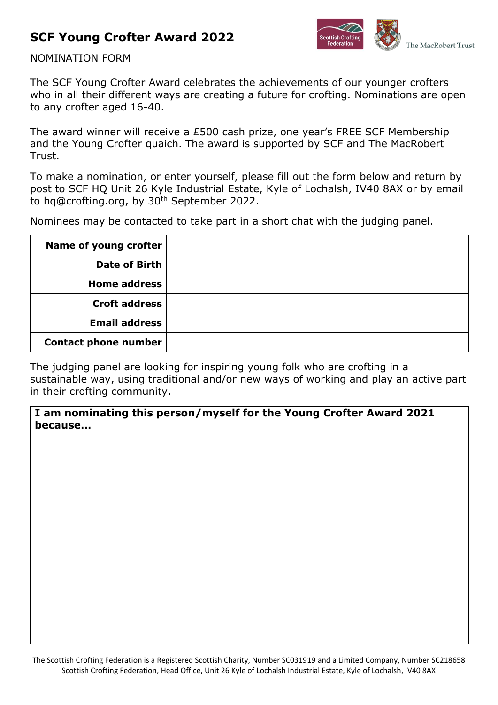# **SCF Young Crofter Award 2022**



#### NOMINATION FORM

The SCF Young Crofter Award celebrates the achievements of our younger crofters who in all their different ways are creating a future for crofting. Nominations are open to any crofter aged 16-40.

The award winner will receive a £500 cash prize, one year's FREE SCF Membership and the Young Crofter quaich. The award is supported by SCF and The MacRobert Trust.

To make a nomination, or enter yourself, please fill out the form below and return by post to SCF HQ Unit 26 Kyle Industrial Estate, Kyle of Lochalsh, IV40 8AX or by email to hq@crofting.org, by 30<sup>th</sup> September 2022.

Nominees may be contacted to take part in a short chat with the judging panel.

| Name of young crofter       |  |
|-----------------------------|--|
| Date of Birth               |  |
| <b>Home address</b>         |  |
| <b>Croft address</b>        |  |
| <b>Email address</b>        |  |
| <b>Contact phone number</b> |  |

The judging panel are looking for inspiring young folk who are crofting in a sustainable way, using traditional and/or new ways of working and play an active part in their crofting community.

**I am nominating this person/myself for the Young Crofter Award 2021 because…**